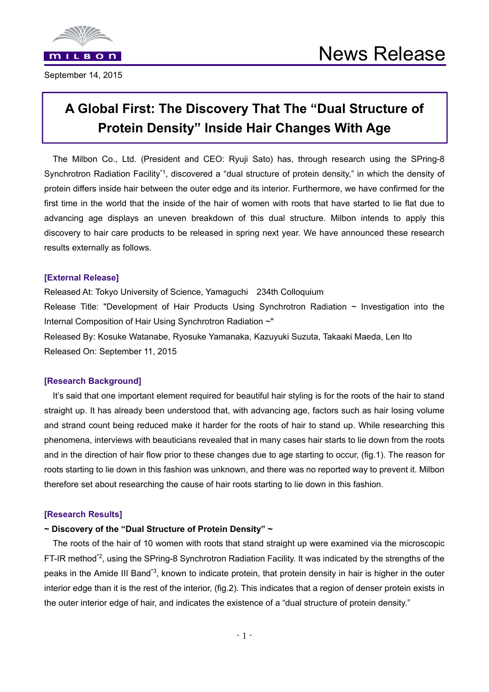

September 14, 2015

# **A Global First: The Discovery That The "Dual Structure of Protein Density" Inside Hair Changes With Age**

The Milbon Co., Ltd. (President and CEO: Ryuji Sato) has, through research using the SPring-8 Synchrotron Radiation Facility<sup>\*1</sup>, discovered a "dual structure of protein density," in which the density of protein differs inside hair between the outer edge and its interior. Furthermore, we have confirmed for the first time in the world that the inside of the hair of women with roots that have started to lie flat due to advancing age displays an uneven breakdown of this dual structure. Milbon intends to apply this discovery to hair care products to be released in spring next year. We have announced these research results externally as follows.

#### **[External Release]**

Released At: Tokyo University of Science, Yamaguchi 234th Colloquium Release Title: "Development of Hair Products Using Synchrotron Radiation  $\sim$  Investigation into the Internal Composition of Hair Using Synchrotron Radiation ~" Released By: Kosuke Watanabe, Ryosuke Yamanaka, Kazuyuki Suzuta, Takaaki Maeda, Len Ito

Released On: September 11, 2015

#### **[Research Background]**

It's said that one important element required for beautiful hair styling is for the roots of the hair to stand straight up. It has already been understood that, with advancing age, factors such as hair losing volume and strand count being reduced make it harder for the roots of hair to stand up. While researching this phenomena, interviews with beauticians revealed that in many cases hair starts to lie down from the roots and in the direction of hair flow prior to these changes due to age starting to occur, (fig.1). The reason for roots starting to lie down in this fashion was unknown, and there was no reported way to prevent it. Milbon therefore set about researching the cause of hair roots starting to lie down in this fashion.

#### **[Research Results]**

#### **~ Discovery of the "Dual Structure of Protein Density" ~**

The roots of the hair of 10 women with roots that stand straight up were examined via the microscopic FT-IR method<sup>\*2</sup>, using the SPring-8 Synchrotron Radiation Facility. It was indicated by the strengths of the peaks in the Amide III Band\*3, known to indicate protein, that protein density in hair is higher in the outer interior edge than it is the rest of the interior, (fig.2). This indicates that a region of denser protein exists in the outer interior edge of hair, and indicates the existence of a "dual structure of protein density."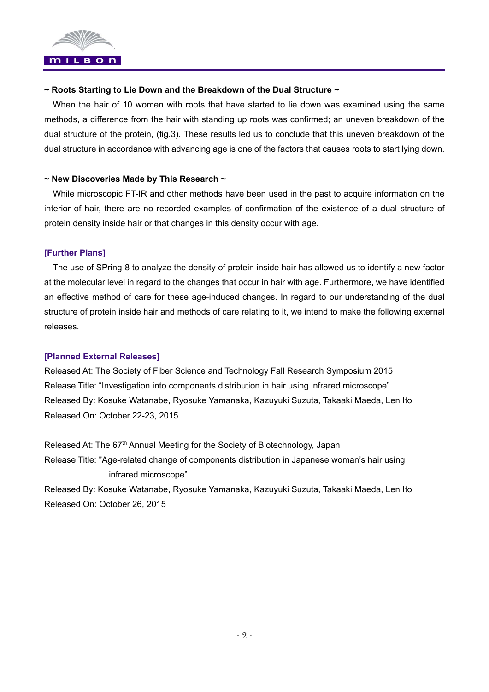

#### **~ Roots Starting to Lie Down and the Breakdown of the Dual Structure ~**

When the hair of 10 women with roots that have started to lie down was examined using the same methods, a difference from the hair with standing up roots was confirmed; an uneven breakdown of the dual structure of the protein, (fig.3). These results led us to conclude that this uneven breakdown of the dual structure in accordance with advancing age is one of the factors that causes roots to start lying down.

#### **~ New Discoveries Made by This Research ~**

While microscopic FT-IR and other methods have been used in the past to acquire information on the interior of hair, there are no recorded examples of confirmation of the existence of a dual structure of protein density inside hair or that changes in this density occur with age.

## **[Further Plans]**

The use of SPring-8 to analyze the density of protein inside hair has allowed us to identify a new factor at the molecular level in regard to the changes that occur in hair with age. Furthermore, we have identified an effective method of care for these age-induced changes. In regard to our understanding of the dual structure of protein inside hair and methods of care relating to it, we intend to make the following external releases.

#### **[Planned External Releases]**

Released At: The Society of Fiber Science and Technology Fall Research Symposium 2015 Release Title: "Investigation into components distribution in hair using infrared microscope" Released By: Kosuke Watanabe, Ryosuke Yamanaka, Kazuyuki Suzuta, Takaaki Maeda, Len Ito Released On: October 22-23, 2015

Released At: The 67<sup>th</sup> Annual Meeting for the Society of Biotechnology, Japan Release Title: "Age-related change of components distribution in Japanese woman's hair using infrared microscope"

Released By: Kosuke Watanabe, Ryosuke Yamanaka, Kazuyuki Suzuta, Takaaki Maeda, Len Ito Released On: October 26, 2015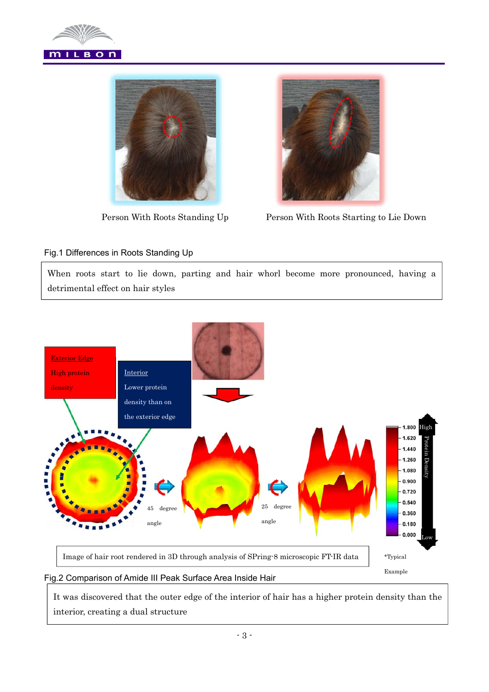





Person With Roots Standing Up Person With Roots Starting to Lie Down

## Fig.1 Differences in Roots Standing Up

When roots start to lie down, parting and hair whorl become more pronounced, having a detrimental effect on hair styles



#### Fig.2 Comparison of Amide III Peak Surface Area Inside Hair

It was discovered that the outer edge of the interior of hair has a higher protein density than the interior, creating a dual structure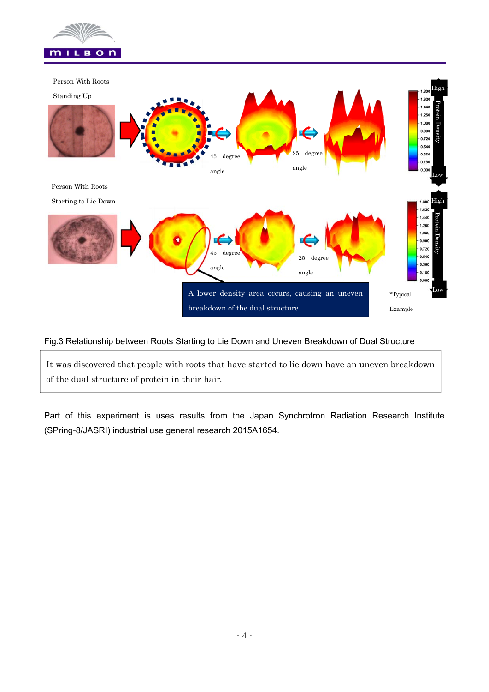



#### Fig.3 Relationship between Roots Starting to Lie Down and Uneven Breakdown of Dual Structure

It was discovered that people with roots that have started to lie down have an uneven breakdown of the dual structure of protein in their hair.

Part of this experiment is uses results from the Japan Synchrotron Radiation Research Institute (SPring-8/JASRI) industrial use general research 2015A1654.